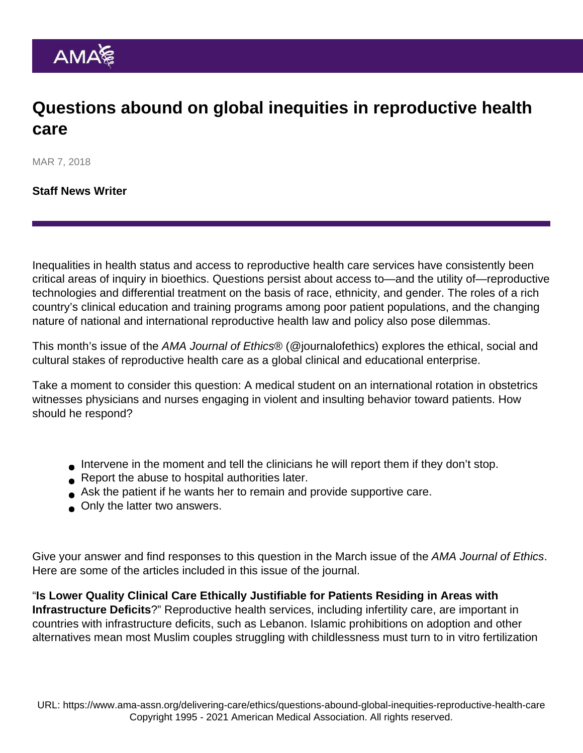## Questions abound on global inequities in reproductive health care

MAR 7, 2018

[Staff News Writer](https://www.ama-assn.org/news-leadership-viewpoints/authors-news-leadership-viewpoints/staff-news-writer)

Inequalities in health status and access to reproductive health care services have consistently been critical areas of inquiry in bioethics. Questions persist about access to—and the utility of—reproductive technologies and differential treatment on the basis of race, ethnicity, and gender. The roles of a rich country's clinical education and training programs among poor patient populations, and the changing nature of national and international reproductive health law and policy also pose dilemmas.

This [month's issue](http://journalofethics.ama-assn.org/2018/03/toc-1803.html) of the AMA Journal of Ethics® [\(@journalofethics\)](https://twitter.com/journalofethics) explores the ethical, social and cultural stakes of reproductive health care as a global clinical and educational enterprise.

Take a moment to consider this question: A medical student on an international rotation in obstetrics witnesses physicians and nurses engaging in violent and insulting behavior toward patients. How should he respond?

- Intervene in the moment and tell the clinicians he will report them if they don't stop.
- Report the abuse to hospital authorities later.
- Ask the patient if he wants her to remain and provide supportive care.
- **Only the latter two answers.**

Give your [answer](http://journalofethics.ama-assn.org/site/poll.html) and find responses to this question in the March issue of the AMA Journal of Ethics. Here are some of the articles included in this issue of the journal.

["Is Lower Quality Clinical Care Ethically Justifiable for Patients Residing in Areas with](http://journalofethics.ama-assn.org/2018/03/ecas1-1803.html) [Infrastructure Deficits](http://journalofethics.ama-assn.org/2018/03/ecas1-1803.html) ?" Reproductive health services, including infertility care, are important in countries with infrastructure deficits, such as Lebanon. Islamic prohibitions on adoption and other alternatives mean most Muslim couples struggling with childlessness must turn to in vitro fertilization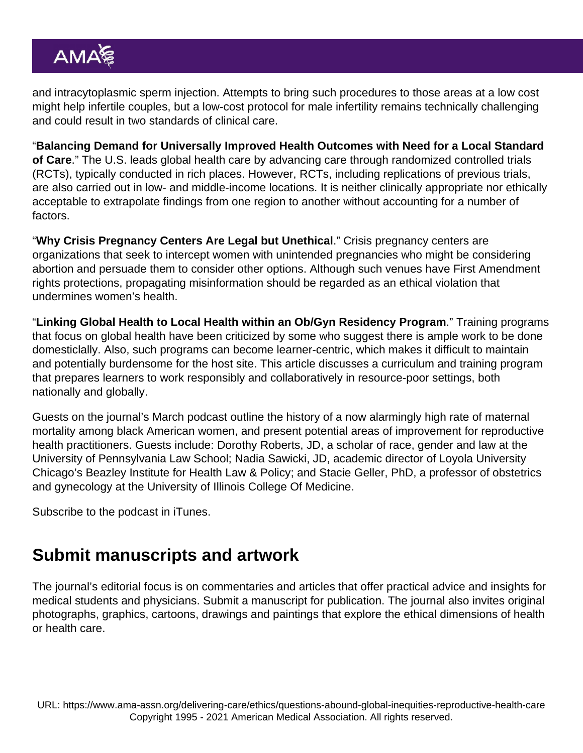and intracytoplasmic sperm injection. Attempts to bring such procedures to those areas at a low cost might help infertile couples, but a low-cost protocol for male infertility remains technically challenging and could result in two standards of clinical care.

["Balancing Demand for Universally Improved Health Outcomes with Need for a Local Standard](http://journalofethics.ama-assn.org/2018/03/stas1-1803.html) [of Care](http://journalofethics.ama-assn.org/2018/03/stas1-1803.html) ." The U.S. leads global health care by advancing care through randomized controlled trials (RCTs), typically conducted in rich places. However, RCTs, including replications of previous trials, are also carried out in low- and middle-income locations. It is neither clinically appropriate nor ethically acceptable to extrapolate findings from one region to another without accounting for a number of factors.

["Why Crisis Pregnancy Centers Are Legal but Unethical](http://journalofethics.ama-assn.org/2018/03/pfor1-1803.html) ." Crisis pregnancy centers are organizations that seek to intercept women with unintended pregnancies who might be considering abortion and persuade them to consider other options. Although such venues have First Amendment rights protections, propagating misinformation should be regarded as an ethical violation that undermines women's health.

["Linking Global Health to Local Health within an Ob/Gyn Residency Program](http://journalofethics.ama-assn.org/2018/03/medu1-1803.html) ." Training programs that focus on global health have been criticized by some who suggest there is ample work to be done domesticlally. Also, such programs can become learner-centric, which makes it difficult to maintain and potentially burdensome for the host site. This article discusses a curriculum and training program that prepares learners to work responsibly and collaboratively in resource-poor settings, both nationally and globally.

Guests on the journal's March [podcast](http://journalofethics.ama-assn.org/podcast/ethics-talk-mar-2018.mp3) outline the history of a now alarmingly high rate of maternal mortality among black American women, and present potential areas of improvement for reproductive health practitioners. Guests include: Dorothy Roberts, JD, a scholar of race, gender and law at the University of Pennsylvania Law School; Nadia Sawicki, JD, academic director of Loyola University Chicago's Beazley Institute for Health Law & Policy; and Stacie Geller, PhD, a professor of obstetrics and gynecology at the University of Illinois College Of Medicine.

[Subscribe](https://itunes.apple.com/us/podcast/ama-journal-of-ethics-podcast/id872628006?mt=2) to the podcast in iTunes.

## Submit manuscripts and artwork

The journal's editorial focus is on commentaries and articles that offer practical advice and insights for medical students and physicians. [Submit a manuscript](http://journalofethics.ama-assn.org/site/for-authors.html) for publication. The journal also [invites](http://journalofethics.ama-assn.org/site/call-for-ihl.html) original photographs, graphics, cartoons, drawings and paintings that explore the ethical dimensions of health or health care.